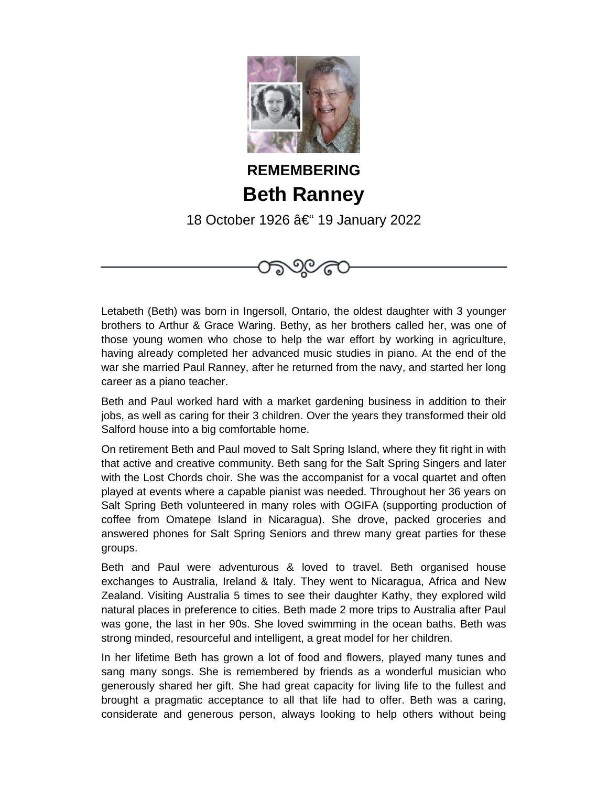

**REMEMBERING Beth Ranney** 18 October 1926 – 19 January 2022

೨೮೯

Letabeth (Beth) was born in Ingersoll, Ontario, the oldest daughter with 3 younger brothers to Arthur & Grace Waring. Bethy, as her brothers called her, was one of those young women who chose to help the war effort by working in agriculture, having already completed her advanced music studies in piano. At the end of the war she married Paul Ranney, after he returned from the navy, and started her long career as a piano teacher.

Beth and Paul worked hard with a market gardening business in addition to their jobs, as well as caring for their 3 children. Over the years they transformed their old Salford house into a big comfortable home.

On retirement Beth and Paul moved to Salt Spring Island, where they fit right in with that active and creative community. Beth sang for the Salt Spring Singers and later with the Lost Chords choir. She was the accompanist for a vocal quartet and often played at events where a capable pianist was needed. Throughout her 36 years on Salt Spring Beth volunteered in many roles with OGIFA (supporting production of coffee from Omatepe Island in Nicaragua). She drove, packed groceries and answered phones for Salt Spring Seniors and threw many great parties for these groups.

Beth and Paul were adventurous & loved to travel. Beth organised house exchanges to Australia, Ireland & Italy. They went to Nicaragua, Africa and New Zealand. Visiting Australia 5 times to see their daughter Kathy, they explored wild natural places in preference to cities. Beth made 2 more trips to Australia after Paul was gone, the last in her 90s. She loved swimming in the ocean baths. Beth was strong minded, resourceful and intelligent, a great model for her children.

In her lifetime Beth has grown a lot of food and flowers, played many tunes and sang many songs. She is remembered by friends as a wonderful musician who generously shared her gift. She had great capacity for living life to the fullest and brought a pragmatic acceptance to all that life had to offer. Beth was a caring, considerate and generous person, always looking to help others without being